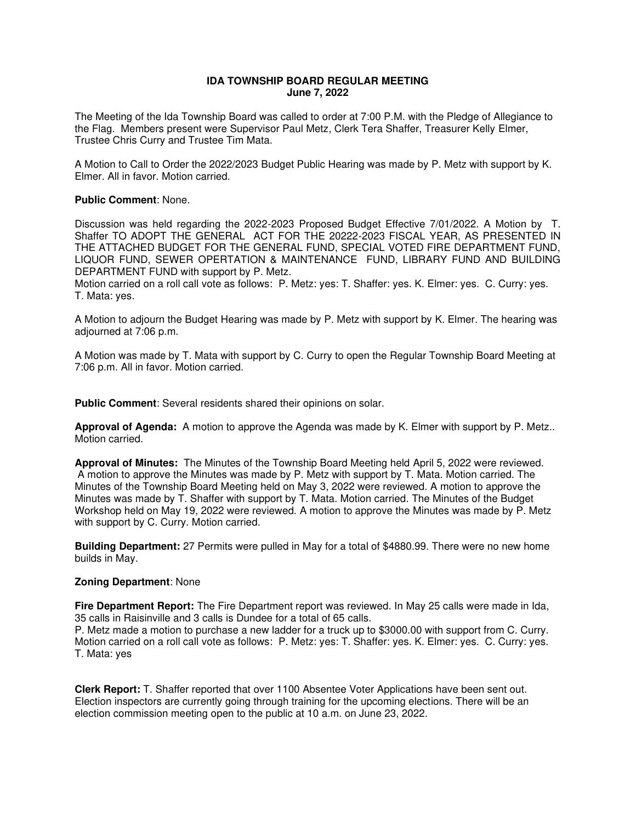# **IDA TOWNSHIP BOARD REGULAR MEETING June 7, 2022**

The Meeting of the Ida Township Board was called to order at 7:00 P.M. with the Pledge of Allegiance to the Flag. Members present were Supervisor Paul Metz, Clerk Tera Shaffer, Treasurer Kelly Elmer, Trustee Chris Curry and Trustee Tim Mata.

A Motion to Call to Order the 2022/2023 Budget Public Hearing was made by P. Metz with support by K. Elmer. All in favor. Motion carried.

#### **Public Comment**: None.

Discussion was held regarding the 2022-2023 Proposed Budget Effective 7/01/2022. A Motion by T. Shaffer TO ADOPT THE GENERAL ACT FOR THE 20222-2023 FISCAL YEAR, AS PRESENTED IN THE ATTACHED BUDGET FOR THE GENERAL FUND, SPECIAL VOTED FIRE DEPARTMENT FUND, LIQUOR FUND, SEWER OPERTATION & MAINTENANCE FUND, LIBRARY FUND AND BUILDING DEPARTMENT FUND with support by P. Metz.

Motion carried on a roll call vote as follows: P. Metz: yes: T. Shaffer: yes. K. Elmer: yes. C. Curry: yes. T. Mata: yes.

A Motion to adjourn the Budget Hearing was made by P. Metz with support by K. Elmer. The hearing was adjourned at 7:06 p.m.

A Motion was made by T. Mata with support by C. Curry to open the Regular Township Board Meeting at 7:06 p.m. All in favor. Motion carried.

**Public Comment**: Several residents shared their opinions on solar.

**Approval of Agenda:** A motion to approve the Agenda was made by K. Elmer with support by P. Metz.. Motion carried.

**Approval of Minutes:** The Minutes of the Township Board Meeting held April 5, 2022 were reviewed. A motion to approve the Minutes was made by P. Metz with support by T. Mata. Motion carried. The Minutes of the Township Board Meeting held on May 3, 2022 were reviewed. A motion to approve the Minutes was made by T. Shaffer with support by T. Mata. Motion carried. The Minutes of the Budget Workshop held on May 19, 2022 were reviewed. A motion to approve the Minutes was made by P. Metz with support by C. Curry. Motion carried.

**Building Department:** 27 Permits were pulled in May for a total of \$4880.99. There were no new home builds in May.

#### **Zoning Department**: None

**Fire Department Report:** The Fire Department report was reviewed. In May 25 calls were made in Ida, 35 calls in Raisinville and 3 calls is Dundee for a total of 65 calls.

P. Metz made a motion to purchase a new ladder for a truck up to \$3000.00 with support from C. Curry. Motion carried on a roll call vote as follows: P. Metz: yes: T. Shaffer: yes. K. Elmer: yes. C. Curry: yes. T. Mata: yes

**Clerk Report:** T. Shaffer reported that over 1100 Absentee Voter Applications have been sent out. Election inspectors are currently going through training for the upcoming elections. There will be an election commission meeting open to the public at 10 a.m. on June 23, 2022.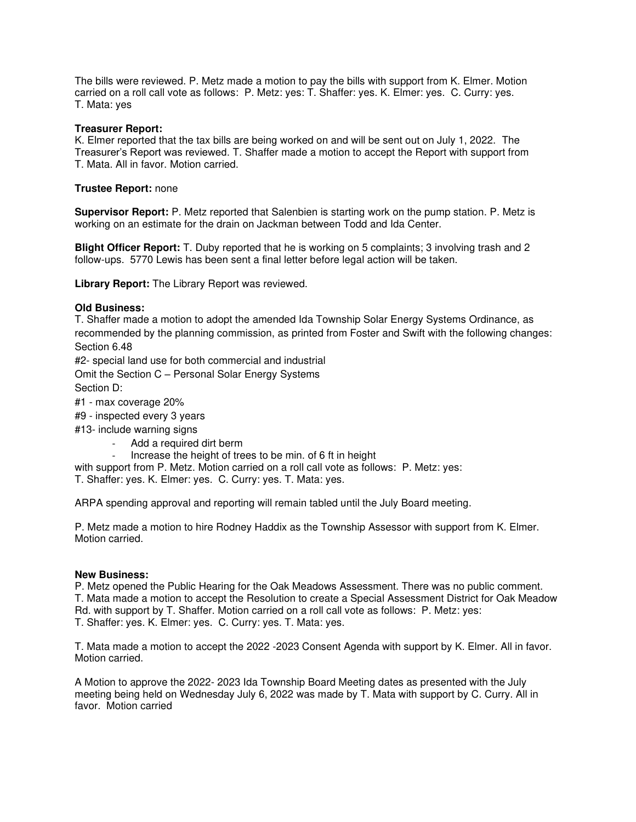The bills were reviewed. P. Metz made a motion to pay the bills with support from K. Elmer. Motion carried on a roll call vote as follows: P. Metz: yes: T. Shaffer: yes. K. Elmer: yes. C. Curry: yes. T. Mata: yes

## **Treasurer Report:**

K. Elmer reported that the tax bills are being worked on and will be sent out on July 1, 2022. The Treasurer's Report was reviewed. T. Shaffer made a motion to accept the Report with support from T. Mata. All in favor. Motion carried.

## **Trustee Report:** none

**Supervisor Report:** P. Metz reported that Salenbien is starting work on the pump station. P. Metz is working on an estimate for the drain on Jackman between Todd and Ida Center.

**Blight Officer Report:** T. Duby reported that he is working on 5 complaints; 3 involving trash and 2 follow-ups. 5770 Lewis has been sent a final letter before legal action will be taken.

**Library Report:** The Library Report was reviewed.

### **Old Business:**

T. Shaffer made a motion to adopt the amended Ida Township Solar Energy Systems Ordinance, as recommended by the planning commission, as printed from Foster and Swift with the following changes: Section 6.48

#2- special land use for both commercial and industrial

Omit the Section C – Personal Solar Energy Systems Section D:

#1 - max coverage 20%

- #9 inspected every 3 years
- #13- include warning signs
	- Add a required dirt berm
	- Increase the height of trees to be min. of 6 ft in height

with support from P. Metz. Motion carried on a roll call vote as follows: P. Metz: yes: T. Shaffer: yes. K. Elmer: yes. C. Curry: yes. T. Mata: yes.

ARPA spending approval and reporting will remain tabled until the July Board meeting.

P. Metz made a motion to hire Rodney Haddix as the Township Assessor with support from K. Elmer. Motion carried.

### **New Business:**

P. Metz opened the Public Hearing for the Oak Meadows Assessment. There was no public comment. T. Mata made a motion to accept the Resolution to create a Special Assessment District for Oak Meadow Rd. with support by T. Shaffer. Motion carried on a roll call vote as follows: P. Metz: yes: T. Shaffer: yes. K. Elmer: yes. C. Curry: yes. T. Mata: yes.

T. Mata made a motion to accept the 2022 -2023 Consent Agenda with support by K. Elmer. All in favor. Motion carried.

A Motion to approve the 2022- 2023 Ida Township Board Meeting dates as presented with the July meeting being held on Wednesday July 6, 2022 was made by T. Mata with support by C. Curry. All in favor. Motion carried